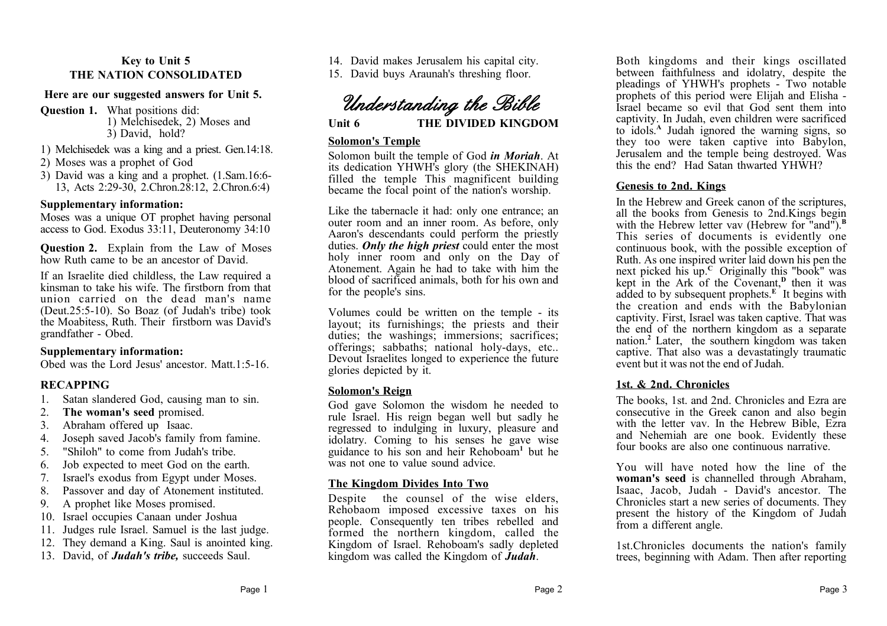## **Key to Unit 5 THE NATION CONSOLIDATED**

### **Here are our suggested answers for Unit 5.**

**Question 1.** What positions did: 1) Melchisedek, 2) Moses and 3) David, hold?

1) Melchisedek was a king and a priest. Gen.14:18.

- 2) Moses was a prophet of God
- 3) David was a king and a prophet. (1.Sam.16:6- 13, Acts 2:29-30, 2.Chron.28:12, 2.Chron.6:4)

## **Supplementary information:**

Moses was a unique OT prophet having personal access to God. Exodus 33:11, Deuteronomy 34:10

**Question 2.** Explain from the Law of Moses how Ruth came to be an ancestor of David.

If an Israelite died childless, the Law required a kinsman to take his wife. The firstborn from that union carried on the dead man's name (Deut.25:5-10). So Boaz (of Judah's tribe) took the Moabitess, Ruth. Their firstborn was David's grandfather - Obed.

## **Supplementary information:**

Obed was the Lord Jesus' ancestor. Matt.1:5-16.

# **RECAPPING**

- 1. Satan slandered God, causing man to sin.
- 2. **The woman's seed** promised.
- 3. Abraham offered up Isaac.
- 4. Joseph saved Jacob's family from famine.
- 5. "Shiloh" to come from Judah's tribe.
- 6. Job expected to meet God on the earth.
- 7. Israel's exodus from Egypt under Moses.
- 8. Passover and day of Atonement instituted.
- 9. A prophet like Moses promised.
- 10. Israel occupies Canaan under Joshua
- 11. Judges rule Israel. Samuel is the last judge.
- 12. They demand a King. Saul is anointed king.
- 13. David, of *Judah's tribe,* succeeds Saul.

14. David makes Jerusalem his capital city.

15. David buys Araunah's threshing floor.

*Understanding the Bible*

**Unit 6 THE DIVIDED KINGDOM**

### **Solomon's Temple**

Solomon built the temple of God *in Moriah*. At its dedication YHWH's glory (the SHEKINAH) filled the temple This magnificent building became the focal point of the nation's worship.

Like the tabernacle it had: only one entrance; an outer room and an inner room. As before, only Aaron's descendants could perform the priestly duties. *Only the high priest* could enter the most holy inner room and only on the Day of Atonement. Again he had to take with him the blood of sacrificed animals, both for his own and for the people's sins.

Volumes could be written on the temple - its layout; its furnishings; the priests and their duties; the washings; immersions; sacrifices; offerings; sabbaths; national holy-days, etc.. Devout Israelites longed to experience the future glories depicted by it.

# **Solomon's Reign**

God gave Solomon the wisdom he needed to rule Israel. His reign began well but sadly he regressed to indulging in luxury, pleasure and idolatry. Coming to his senses he gave wise guidance to his son and heir Rehoboam**<sup>1</sup>**but he was not one to value sound advice.

# **The Kingdom Divides Into Two**

Despite the counsel of the wise elders, Rehobaom imposed excessive taxes on his people. Consequently ten tribes rebelled and formed the northern kingdom, called the Kingdom of Israel. Rehoboam's sadly depleted kingdom was called the Kingdom of *Judah*.

Both kingdoms and their kings oscillated between faithfulness and idolatry, despite the pleadings of YHWH's prophets - Two notable prophets of this period were Elijah and Elisha - Israel became so evil that God sent them into captivity. In Judah, even children were sacrificed to idols.**<sup>A</sup>** Judah ignored the warning signs, so they too were taken captive into Babylon, Jerusalem and the temple being destroyed. Was this the end? Had Satan thwarted YHWH?

## **Genesis to 2nd. Kings**

In the Hebrew and Greek canon of the scriptures, all the books from Genesis to 2nd.Kings begin with the Hebrew letter vav (Hebrew for "and").<sup>B</sup> This series of documents is evidently one continuous book, with the possible exception of Ruth. As one inspired writer laid down his pen the next picked his up.<sup>c</sup> Originally this "book" was kept in the Ark of the Covenant,**<sup>D</sup>** then it was added to by subsequent prophets.**<sup>E</sup>** It begins with the creation and ends with the Babylonian captivity. First, Israel was taken captive. That was the end of the northern kingdom as a separate nation.**<sup>2</sup>** Later, the southern kingdom was taken captive. That also was a devastatingly traumatic event but it was not the end of Judah.

## **1st. & 2nd. Chronicles**

The books, 1st. and 2nd. Chronicles and Ezra are consecutive in the Greek canon and also begin with the letter vav. In the Hebrew Bible, Ezra and Nehemiah are one book. Evidently these four books are also one continuous narrative.

You will have noted how the line of the **woman's seed** is channelled through Abraham, Isaac, Jacob, Judah - David's ancestor. The Chronicles start a new series of documents. They present the history of the Kingdom of Judah from a different angle.

1st.Chronicles documents the nation's family trees, beginning with Adam. Then after reporting